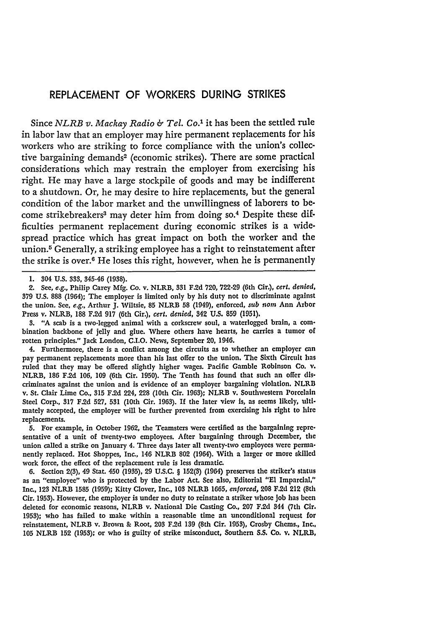## REPLACEMENT OF WORKERS **DURING** STRIKES

Since *NLRB v. Machay Radio & Tel. Co.'* it has been the settled rule in labor law that an employer may hire permanent replacements for his workers who are striking to force compliance with the union's collective bargaining demands<sup>2</sup> (economic strikes). There are some practical considerations which may restrain the employer from exercising his right. He may have a large stockpile of goods and may be indifferent to a shutdown. Or, he may desire to hire replacements, but the general condition of the labor market and the unwillingness of laborers to become strikebreakers<sup>3</sup> may deter him from doing so.<sup>4</sup> Despite these difficulties permanent replacement during economic strikes is a widespread practice which has great impact on both the worker and the union.<sup>5</sup> Generally, a striking employee has a right to reinstatement after the strike is over.<sup>6</sup> He loses this right, however, when he is permanently

**3. "A** scab is a two-legged animal with a corkscrew soul, a waterlogged brain, a combination backbone of **jelly** and glue. Where others have hearts, he carries a tumor of rotten principles." Jack London, **C.I.O.** News, September 20, 1946.

4. Furthermore, there is a conflict among the circuits as to whether an employer can pay permanent replacements more than his last offer to the union. The Sixth Circuit has ruled that they may be offered slightly higher wages. Pacific Gamble Robinson Co. v. NLRB, **186 F.2d 106, 109** (6th Cir. **1950).** The Tenth has found that such an offer discriminates against the union and is evidence of an employer bargaining violation. NLRB v. St. Clair Lime Co., **315 F.2d** 224, **228** (10th Cir. **1963);** NLRB v. Southwestern Porcelain Steel Corp., **317 F.2d 527, 531** (10th Cir. **1963).** If the later view is, as seems **likely,** ultimately accepted, the employer will be further prevented from exercising his right to hire replacements.

**5.** For example, in October **1962,** the Teamsters **were** certified as the bargaining representative of a unit of twenty-two employees. After bargaining through December, the union called a strike on January 4. Three days later all twenty-two employees were permanently replaced. Hot Shoppes, Inc., 146 NLRB 802 (1964). With a larger or more skilled work force, the effect of the replacement rule is less dramatic.

**6.** Section 2(3), 49 Stat. 450 **(1935), 29 U.S.C.** § **152(3)** (1964) preserves the striker's status as an "employee" who is protected **by** the Labor Act. See also, Editorial **"El** Imparcal," Inc., **123** NLRB **1585 (1959);** Kitty Clover, Inc., **103** NLRB **1665,** *enforced,* **208 F.2d** 212 (8th Cir. 1953). However, the employer is under no duty to reinstate a striker whose job has been deleted for economic reasons, NLRB v. National Die Casting Co., **207 F.2d** 344 (7th Cir. **1953);** who has failed to make within a reasonable time an unconditional request for reinstatement, NLRB v. Brown **&** Root, **203 F.2d 139** (8th Cir. **1953),** Crosby Chems., Inc., **105** NLRB **152 (1953);** or who is guilty of strike misconduct, Southern **S.S.** Co. v. NLRB,

**<sup>1.</sup>** 304 **U.S. 333,** 345-46 **(1938).**

<sup>2.</sup> **See,** e.g., Philip Carey **Mfg.** Co. v. NLRB, **531 F.2d 720, 722-29** (6th Cir.), *cert. denied,* **379 U.S. 888** (1964); The employer is limited only **by** his duty not to discriminate against the union. **See,** *e.g.,* Arthur **J.** Wiltsie, **85** NLRB **58** (1949), enforced, *sub nom* Ann Arbor Press v. NLRB, **188 F.2d 917** (6th Cir.), *cert. denied,* 342 **U.S. 859 (1951).**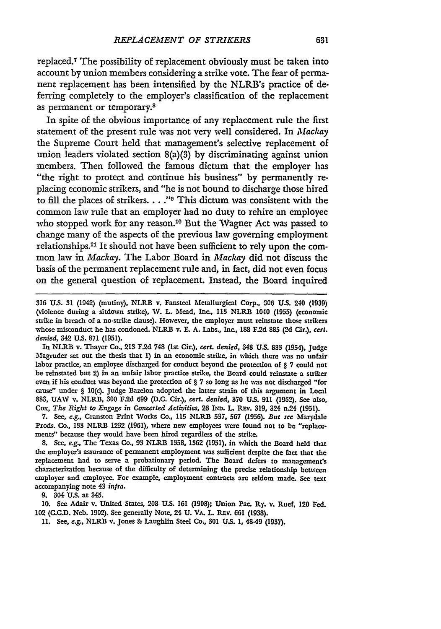replaced.<sup>7</sup> The possibility of replacement obviously must be taken into account by union members considering a strike vote. The fear of permanent replacement has been intensified **by** the NLRB's practice of deferring completely to the employer's classification of the replacement as permanent or temporary.8

In spite of the obvious importance of any replacement rule the first statement of the present rule was not very well considered. In *Mackay* the Supreme Court held that management's selective replacement of union leaders violated section 8(a)(3) by discriminating against union members. Then followed the famous dictum that the employer has "the right to protect and continue his business" **by** permanently replacing economic strikers, and "he is not bound to discharge those hired to fill the places of strikers. . **. ."** This dictum was consistent with the common law rule that an employer had no duty to rehire an employee who stopped work for any reason.<sup>10</sup> But the Wagner Act was passed to change many of the aspects of the previous law governing employment relationships.<sup>11</sup> It should not have been sufficient to rely upon the common law in *Mackay.* The Labor Board in *Mackay* did not discuss the basis of the permanent replacement rule and, in fact, did not even focus on the general question of replacement. Instead, the Board inquired

In NLRB v. Thayer Co., **213 F.2d 748** (Ist Cir.), *cert. denied,* 348 **US. 883** (1954), Judge Magruder set out the thesis that **1)** in an economic strike, in which there **was** no unfair labor practice, an employee discharged for conduct beyond the protection of § **7** could not be reinstated but 2) in an unfair labor practice strike, the Board could reinstate a striker even if his conduct was beyond the protection of § **7** so long as he was not discharged "for cause" under § 10(c). Judge Bazelon adopted the latter strain of this argument in Local **883, UAV** v. NLRPB, **300 F.2d** 699 **(D.C.** Cir.), *cert. denied,* **370 U.S. 911 (1962). See** also, Cox, *The Right to Engage in Concerted Activities,* **26** IND. L. REv. 319, 324 n.24 (1951).

**7.** See, e.g., Cranston Print Works Co., **115** NLR.B **537, 567** (1956). *But see* Marydale Prods. Co., **133** NLRB **1232 (1961),** where new employees were found not to **be** "replacements" because they would have been hired regardless of the strike.

8. See, e.g., The Texas Co., 93 NLRB **1358,** 1362 (1951), in which the Board held that the employer's assurance of permanent employment was sufficient despite the fact that the replacement had to serve a probationary period. The Board defers to management's characterization because of the difficulty of determining the precise relationship between employer and employee. For example, employment contracts are seldom made. See text accompanying note 43 *infra.*

**9.** 504 **U.S.** at 345.

**10.** See Adair v. United States, 208 **US. 161** (1908); Union Pac. Ry. v. Ruef, 120 **Fed.** 102 **(C.C.D.** Neb. 1902). See generally Note, 24 **U. VA. L** REv. 661 (1938).

**11.** See, *e.g.,* NLRB v. Jones & Laughlin Steel Co., **301 U.S. 1,** 48-49 **(1937).**

**<sup>316</sup> U.S. 31** (1942) (mutiny), **NLRB** v. Fansted Metallurgical Corp., 306 **US.** 240 (1939) (violence during a sitdown strike), W. L. Mead, Inc., **113** NLRII 1040 **(1955)** (economic strike in breach of a no-strike clause). However, the employer must reinstate those strikers whose misconduct he has condoned. NLRB v. **E. A.** Labs., Inc., **188 F.2d 885 (2d** Cir.), cert. *denied,* 342 **U.S. 871** (1951).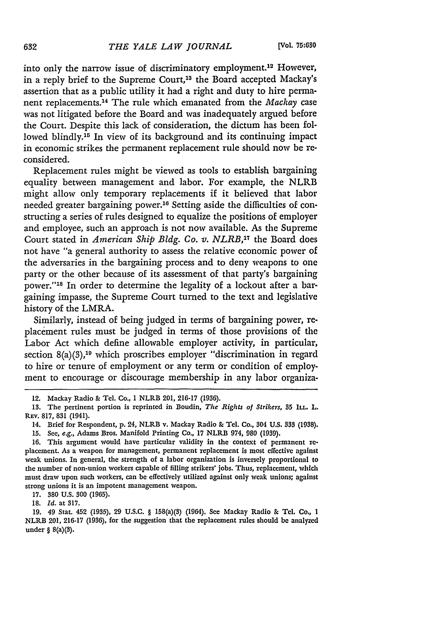into only the narrow issue of discriminatory employment.<sup>12</sup> However, in a reply brief to the Supreme Court,<sup>13</sup> the Board accepted Mackay's assertion that as a public utility it had a right and duty to hire permanent replacements. 14 The rule which emanated from the *Mackay* case was not litigated before the Board and was inadequately argued before the Court. Despite this lack of consideration, the dictum has been followed blindly.<sup>15</sup> In view of its background and its continuing impact in economic strikes the permanent replacement rule should now be reconsidered.

Replacement rules might be viewed as tools to establish bargaining equality between management and labor. For example, the NLRB might allow only temporary replacements if it believed that labor needed greater bargaining power.16 Setting aside the difficulties of constructing a series of rules designed to equalize the positions of employer and employee, such an approach is not now available. As the Supreme Court stated in *American Ship Bldg. Co. v. NLRB,17* the Board does not have "a general authority to assess the relative economic power of the adversaries in the bargaining process and to deny weapons to one party or the other because of its assessment of that party's bargaining power."<sup>18</sup> In order to determine the legality of a lockout after a bargaining impasse, the Supreme Court turned to the text and legislative history of the LMRA.

Similarly, instead of being judged in terms of bargaining power, replacement rules must be judged in terms of those provisions of the Labor Act which define allowable employer activity, in particular, section  $8(a)(3)$ ,<sup>19</sup> which proscribes employer "discrimination in regard to hire or tenure of employment or any term or condition of employment to encourage or discourage membership in any labor organiza-

18. *Id.* at 317.

<sup>12.</sup> Mackay Radio & Tel. Co., **1** NLRB 201, **216-17 (1936).**

<sup>13.</sup> The pertinent portion is reprinted in Boudin, *The Rights of Strikers, 35* **ILL.** L. REV. 817, **831** (1941).

<sup>14.</sup> Brief for Respondent, p. 24, NLRB v. Mackay Radio & Tel. Co., 304 U.S. **333** (1938).

**<sup>15.</sup>** See, *e.g.,* Adams Bros. Manifold Printing Co., 17 NLRB 974, **980 (1939).**

<sup>16.</sup> This argument would have particular validity in the context of permanent replacement. As a weapon for management, permanent replacement is most effective against weak unions. In general, the strength of a labor organization is inversely proportional to the number of non-union workers capable of filling strikers' jobs. Thus, replacement, which must draw upon such workers, can be effectively utilized against only weak unions; against strong unions it is an impotent management weapon.

**<sup>17. 380</sup> U.S.** *300* **(1965).**

<sup>19. 49</sup> Stat. 452 (1935), **29** U.S.C. § 158(a)(3) (1964). **See** Mackay Radio & Tel. Co., **I** NLRB 201, 216-17 (1936), for the suggestion that the replacement rules should be analyzed under § 8(a)(3).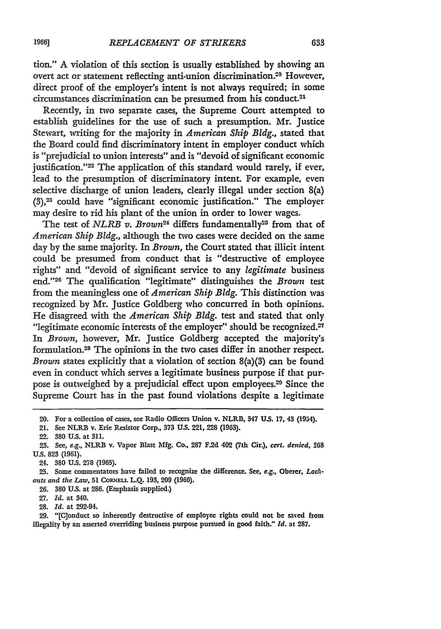tion." A violation of this section is usually established by showing an overt act or statement reflecting anti-union discrimination.20 However, direct proof of the employer's intent is not always required; in some circumstances discrimination can be presumed from his conduct.<sup>21</sup>

Recently, in two separate cases, the Supreme Court attempted to establish guidelines for the use of such a presumption. Mr. Justice Stewart, writing for the majority in *American Ship Bldg.,* stated that the Board could find discriminatory intent in employer conduct which is "prejudicial to union interests" and is "devoid of significant economic justification."<sup>22</sup> The application of this standard would rarely, if ever, lead to the presumption of discriminatory intent. For example, even selective discharge of union leaders, clearly illegal under section 8(a) (3),23 could have "significant economic justification." The employer may desire to rid his plant of the union in order to lower wages.

The test of *NLRB v. Brown*<sup>24</sup> differs fundamentally<sup>25</sup> from that of *American Ship Bldg.,* although the two cases were decided on the same day by the same majority. In *Brown,* the Court stated that illicit intent could be presumed from conduct that is "destructive of employee rights" and "devoid of significant service to any *legitimate* business end."28 The qualification "legitimate" distinguishes the *Brown* test from the meaningless one of *American Ship Bldg.* This distinction was recognized by Mr. Justice Goldberg who concurred in both opinions. He disagreed with the *American Ship Bldg.* test and stated that only "legitimate economic interests of the employer" should be recognized.<sup>27</sup> In *Brown,* however, Mr. Justice Goldberg accepted the majority's formulation. 28 The opinions in the two cases differ in another respect. *Brown* states explicitly that a violation of section 8(a)(3) can be found even in conduct which serves a legitimate business purpose if that purpose is outweighed by a prejudicial effect upon employees.<sup>29</sup> Since the Supreme Court has in the past found violations despite a legitimate

22. **380 U.S.** at **311.**

<sup>20.</sup> For a collection of cases, see Radio Officers Union v. NLRB, 347 **US. 17.** 43 **(1954).**

<sup>21.</sup> See NLRB v. Erie Resistor Corp., **373 U.S.** 221, 228 **(1963).**

**<sup>23.</sup>** See, *e.g.,* NLRB v. Vapor Blast **Mfg. Co., 287 F.2d 402 (7th Cir.).** *cert. denied, 363* **U.S. 823 (1961).**

<sup>24. 380</sup> **U.S.** 278 (1965).

**<sup>25.</sup>** Some commentators have failed to recognize the difference. See, e.g., Oberer, *Lockouts and the Law,* **51 CORNELL L.Q. 193, 209 (1966).**

**<sup>26. 380</sup> U.S.** at **286.** (Emphasis supplied.)

**<sup>27.</sup>** *Id.* at 340.

**<sup>28.</sup>** *Id.* at 292-94.

**<sup>29.</sup>** "[C]onduct so inherently destructive of employee rights could not **be** saved from illegality **by** an asserted overriding business purpose pursued in good faith." *Id.* at **287.**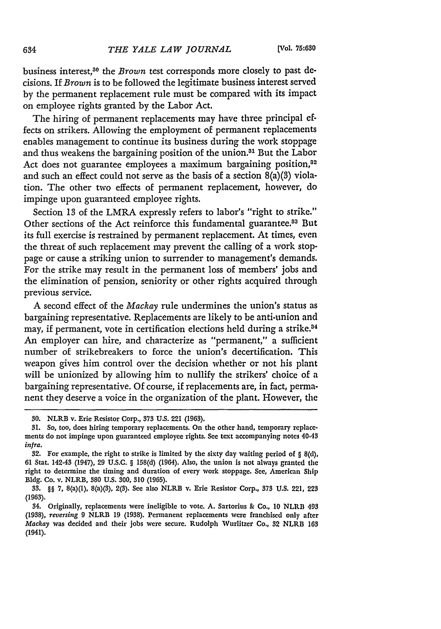business interest,<sup>30</sup> the *Brown* test corresponds more closely to past decisions. If *Brown* is to be followed the legitimate business interest served by the permanent replacement rule must be compared with its impact on employee rights granted by the Labor Act.

The hiring of permanent replacements may have three principal effects on strikers. Allowing the employment of permanent replacements enables management to continue its business during the work stoppage and thus weakens the bargaining position of the union.<sup>31</sup> But the Labor Act does not guarantee employees a maximum bargaining position,<sup>02</sup> and such an effect could not serve as the basis of a section  $8(a)(3)$  violation. The other two effects of permanent replacement, however, do impinge upon guaranteed employee rights.

Section **13** of the LMRA expressly refers to labor's "right to strike." Other sections of the Act reinforce this fundamental guarantee.<sup>33</sup> But its full exercise is restrained by permanent replacement. At times, even the threat of such replacement may prevent the calling of a work stoppage or cause a striking union to surrender to management's demands. For the strike may result in the permanent loss of members' jobs and the elimination of pension, seniority or other rights acquired through previous service.

**A** second effect of the *Mackay* rule undermines the union's status as bargaining representative. Replacements are likely to be anti-union and may, if permanent, vote in certification elections held during a strike.<sup>84</sup> An employer can hire, and characterize as "permanent," a sufficient number of strikebreakers to force the union's decertification. This weapon gives him control over the decision whether or not his plant will be unionized by allowing him to nullify the strikers' choice of a bargaining representative. Of course, if replacements are, in fact, permanent they deserve a voice in the organization of the plant. However, the

**<sup>30.</sup>** NLRB v. Erie Resistor Corp., 373 **U.S.** 221 **(1963).**

**<sup>31.</sup>** So, too, does hiring temporary replacements. On the other hand, temporary replacements do not impinge upon guaranteed employee rights. **See** text accompanying notes 40.43 infra.

<sup>32.</sup> For example, the right to strike is limited by the sixty day waiting period of § 8(d), **61** Stat. 142-43 (1947), **29** U.S.C. § 158(d) (1964). Also, the union is not always granted the right to determine the timing and duration of every work stoppage. See, American Ship Bldg. Co. v. NLRB, 380 U.S. 300, 310 (1965).

<sup>33. §§ 7, 8(</sup>a)(1), 8(a)(3), 2(3). See also NLRB v. Erie Resistor Corp., **373** U.S. 221, **223** (1963).

<sup>54.</sup> Originally, replacements were ineligible to vote. A. Sartorius **&** Co., 10 NLRB 493 (1938), *reversing* 9 NLRB **19** (1938). Permanent replacements were franchised only after *Mackay* was decided and their jobs were secure. Rudolph Wurlitzer Co., 32 NLRB **163** (1941).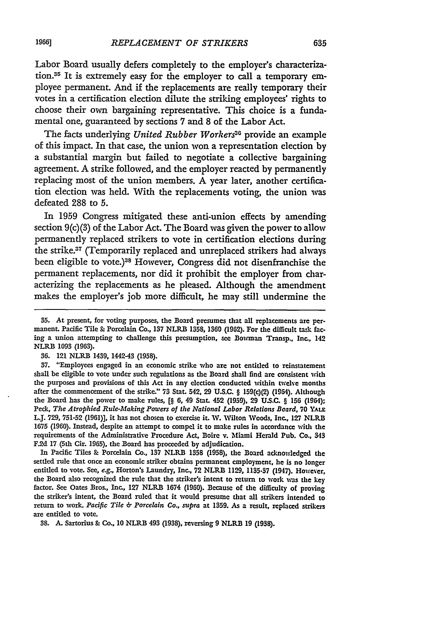Labor Board usually defers completely to the employer's characterization.35 It is extremely easy for the employer to call a temporary employee permanent. And if the replacements are really temporary their votes in a certification election dilute the striking employees' rights to choose their own bargaining representative. This choice is a fundamental one, guaranteed **by** sections **7** and **8** of the Labor Act.

The facts underlying *United Rubber Workersa"* provide an example of this impact. In that case, the union won a representation election **by** a substantial margin but failed to negotiate a collective bargaining agreement. **A** strike followed, and the employer reacted **by** permanently replacing most of the union members. **A** year later, another certification election was held. With the replacements voting, the union was defeated **288** to **5.**

In **1959** Congress mitigated these anti-union effects **by** amending section **9(c)(3)** of the Labor Act. The Board was given the power to allow permanently replaced strikers to vote in certification elections during the strike.37 (Temporarily replaced and unreplaced strikers had always been eligible to vote.)38 However, Congress did not disenfranchise the permanent replacements, nor did it prohibit the employer from characterizing the replacements as he pleased. Although the amendment **makes** the employer's **job** more difficult, he may still undermine the

In Pacific Tiles & Porcelain Co., **137** NLRB 1358 (1958), the Board acknowledged the settled rule that once an economic striker obtains permanent employment, he is no longer entitled to vote. See, *e.g.,* Horton's Laundry, Inc., 72 NLRB 1129, **1135-37** (1947). However, the Board also recognized the rule that the striker's intent to return to work was the key factor. See Oates Bros., Inc., **127** NLRB 1674 (1960). Because of the difficulty of proving the striker's intent, the Board ruled that it would presume that all strikers intended to return to work. *Pacific Tile 6 Porcelain Co., supra* at 1359. As a result, replaced strikers are entitled to vote.

38. **A.** Sartorius & Co., 10 NLRB 493 (1938), reversing 9 NLRB 19 **(1938).**

**<sup>35.</sup>** At present, for voting purposes, the Board presumes that all replacements are permanent. Pacific Tile & Porcelain Co., **137** NLRB **1358, 1360** (1962). For the difficult task facing a union attempting to challenge this presumption, see Bowman Transp.. Inc., 142 NLRB **1093 (1963).**

<sup>36. 121</sup> NLRB 1439, 1442-43 **(1958).**

<sup>37. &</sup>quot;Employees engaged in an economic strike who are not entitled to reinstatement shall be eligible to vote under such regulations as the Board shall find are consistent with the purposes and provisions of this Act in any election conducted within twelve months after the commencement of the strike." **73** Stat. 542, **29** U.S.C. § 159(c)(2) (1964). Although the Board has the power to make rules, [§ **6,** 49 Stat. 452 **(1959), 29** U.S.C. § **156** (194); Peck, *The Atrophied Rule-Making Powers of the National Labor Relations Board,* **70** YALE L.J. **729, 751-52 (1961)],** it has not chosen to exercise it. W. Wilton Woods, Inc., **127** NLRB 1675 (1960). Instead, despite an attempt to compel it to make rules in accordance with the requirements of the Administrative Procedure Act, Boire v. Miami Herald Pub. Co., 343 F.2d **17** (5th Cir. **1965),** the Board has proceeded **by** adjudication.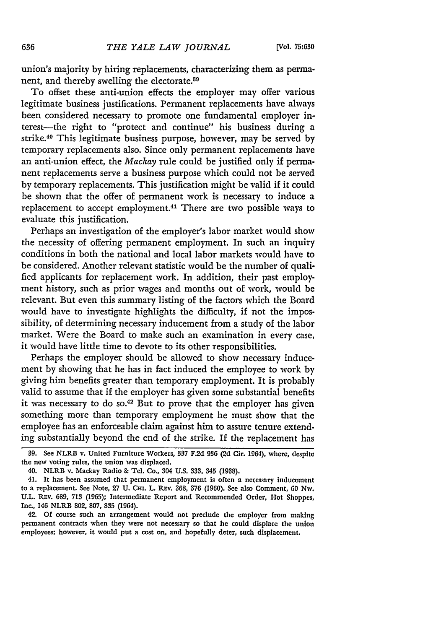union's majority by hiring replacements, characterizing them as permanent, and thereby swelling the electorate.80

To offset these anti-union effects the employer may offer various legitimate business justifications. Permanent replacements have always been considered necessary to promote one fundamental employer interest-the right to "protect and continue" his business during a strike.40 This legitimate business purpose, however, may be served by temporary replacements also. Since only permanent replacements have an anti-union effect, the *Mackay* rule could be justified only if permanent replacements serve a business purpose which could not be served by temporary replacements. This justification might be valid if it could be shown that the offer of permanent work is necessary to induce a replacement to accept employment.<sup>41</sup> There are two possible ways to evaluate this justification.

Perhaps an investigation of the employer's labor market would show the necessity of offering permanent employment. In such an inquiry conditions in both the national and local labor markets would have to be considered. Another relevant statistic would be the number of qualified applicants for replacement work. In addition, their past employment history, such as prior wages and months out of work, would be relevant. But even this summary listing of the factors which the Board would have to investigate highlights the difficulty, if not the impossibility, of determining necessary inducement from a study of the labor market. Were the Board to make such an examination in every case, it would have little time to devote to its other responsibilities.

Perhaps the employer should be allowed to show necessary inducement by showing that he has in fact induced the employee to work by giving him benefits greater than temporary employment. It is probably valid to assume that if the employer has given some substantial benefits it was necessary to do so.<sup>42</sup> But to prove that the employer has given something more than temporary employment he must show that the employee has an enforceable claim against him to assure tenure extending substantially beyond the end of the strike. If the replacement has

**<sup>39.</sup> See** NLRB v. United Furniture Workers, **337 F.2d 936 (2d** Cir. 1964), where, despite the new voting rules, the union was displaced.

<sup>40.</sup> NLRB v. Mackay Radio **&** Tel. Co., 304 **U.S.** 333, 345 **(1938).**

<sup>41.</sup> It has been assumed that permanent employment is often a necessary inducement to a replacement. See Note, **27 U.** CHI. L. REv. 368, **376** (1960). **See** also Comment, **60** Nw. U.L. REv. **689, 713** (1965); Intermediate Report and Recommended Order, Hot Shoppes, Inc., 146 NLRB **802,** 807, **835** (1964).

<sup>42.</sup> Of course such an arrangement would not preclude the employer from making permanent contracts when they were not necessary so that he could displace the union employees; however, it would put a cost on, and hopefully deter, such displacement.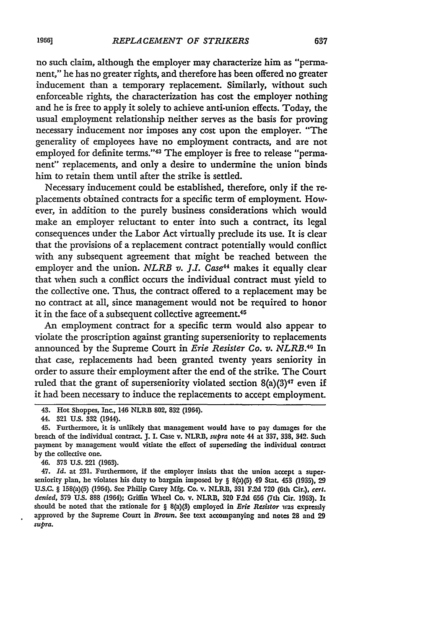no such claim, although the employer may characterize him as "permanent," he has no greater rights, and therefore has been offered no greater inducement than a temporary replacement. Similarly, without such enforceable rights, the characterization has cost the employer nothing and he is free to apply it solely to achieve anti-union effects. Today, the usual employment relationship neither serves as the basis for proving necessary inducement nor imposes any cost upon the employer. "The generality of employees have no employment contracts, and are not employed for definite terms."43 The employer is free to release "permanent" replacements, and only a desire to undermine the union binds him to retain them until after the strike is settled.

Necessary inducement could be established, therefore, only if the replacements obtained contracts for a specific term of employment. However, in addition to the purely business considerations which would make an employer reluctant to enter into such a contract, its legal consequences under the Labor Act virtually preclude its use. It is clear that the provisions of a replacement contract potentially would conflict with any subsequent agreement that might be reached between the employer and the union. *NLRB v. J.I. Case<sup>44</sup>* makes it equally clear that when such a conflict occurs the individual contract must yield to the collective one. Thus, the contract offered to a replacement may be no contract at all, since management would not be required to honor it in the face of a subsequent collective agreement.<sup>45</sup>

An employment contract for a specific term would also appear to violate the proscription against granting superseniority to replacements announced by the Supreme Court in *Erie Resister Co. v. NLRB*.<sup>40</sup> In that case, replacements had been granted twenty years seniority in order to assure their employment after the end of the strike. The Court ruled that the grant of superseniority violated section 8(a)(3)47 even **if** it had been necessary to induce the replacements to accept employment.

47. *Id.* at **231.** Furthermore, if the employer insists that the union accept a superseniority plan, he violates his duty to bargain imposed **by** § 8(a)(5) 49 Stat. 453 **(1935), 29 U.S.C.** § 158(a)(5) (1964). See Philip Carey **Mlfg.** Co. v. NLRB, **331 F.2d 720** (6th Cir.), cert. *denied,* **379 U.S. 888** (1964); Griffin Wheel Co. v. NLRB, 320 F.2d **656** (7th Cir. 1963). It should be noted that the rationale for § 8(a)(3) employed in *Erie Resistor* was expressly approved **by** the Supreme Court in *Brown.* See text accompanying and notes 28 and **29** *supra.*

<sup>43.</sup> Hot Shoppes, Inc., 146 NLRB **802, 832** (1964).

<sup>44.</sup> **321 US. 332** (1944).

<sup>45.</sup> Furthermore, it is unlikely that management would **have** to pay damages for the breach of the individual contract. J. I. Case v. NLRB, *supra* note 44 at **337. 338,** 342. Such payment **by** management would vitiate the effect of superseding the individual contract by the collective one.

<sup>46.</sup> **373 U.s.** 221 **(1963).**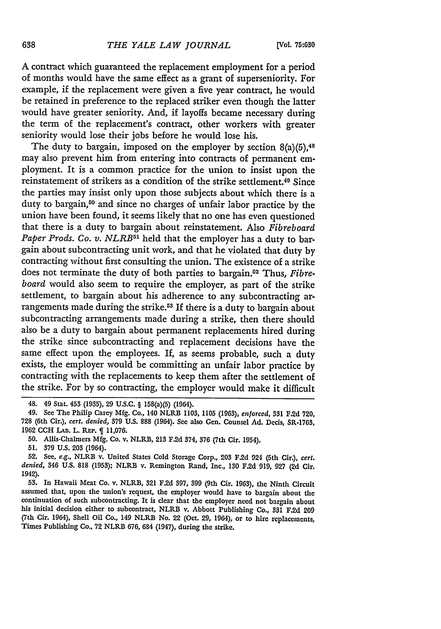**A** contract which guaranteed the replacement employment for a period of months would have the same effect as a grant of superseniority. For example, if the replacement were given a five year contract, he would be retained in preference to the replaced striker even though the latter would have greater seniority. And, if layoffs became necessary during the term of the replacement's contract, other workers with greater seniority would lose their jobs before he would lose his.

The duty to bargain, imposed on the employer **by** section 8(a)(5), <sup>48</sup> may also prevent him from entering into contracts of permanent employment. It is a common practice for the union to insist upon the reinstatement of strikers as a condition of the strike settlement.49 Since the parties may insist only upon those subjects about which there is a duty to bargain,50 and since no charges of unfair labor practice **by** the union have been found, it seems likely that no one has even questioned that there is a duty to bargain about reinstatement. Also *Fibreboard Paper Prods. Co. v. NLRB*<sup>51</sup> held that the employer has a duty to bargain about subcontracting unit work, and that he violated that duty by contracting without first consulting the union. The existence of a strike does not terminate the duty of both parties to bargain.<sup>52</sup> Thus, *Fibreboard* would also seem to require the employer, as part of the strike settlement, to bargain about his adherence to any subcontracting arrangements made during the strike.53 If there is a duty to bargain about subcontracting arrangements made during a strike, then there should also be a duty to bargain about permanent replacements hired during the strike since subcontracting and replacement decisions have the same effect upon the employees. If, as seems probable, such a duty exists, the employer would be committing an unfair labor practice by contracting with the replacements to keep them after the settlement of the strike. For by so contracting, the employer would make it difficult

**51. 379 U.S. 203** (1964).

<sup>48. 49</sup> Stat. 453 **(1935), 29** U.S.C. § 158(a)(5) (1964).

<sup>49.</sup> See The Philip Carey **Mfg.** Co., 140 NLRB **1103, 1105 (1963),** *enforccd,* **331 F.2d 720, 728** (6th Cir.), *cert. denied,* **579 U.S. 888** (1964). See also Gen. Counsel **Ad.** Decis, **SR-1763, 1962 CCH** LAB. L. REP. **11,076.**

**<sup>50.</sup>** Allis-Chalmers **Mfg.** Co. v. NLRB, **213 F.2d** 374, **376** (7th Cir. 1954).

**<sup>52.</sup>** See, *e.g.,* NLRB v. United States Cold Storage Corp., **203 F.2d** 924 (5th Cir.), *cert. denied,* 346 **U.S. 818 (1953);** NLRB v. Remington Rand, Inc., **130 F.2d 919, 927 (2d** Cir. 1942).

**<sup>53.</sup>** In Hawaii Meat Co. v. NLRB, **321 F.2d 397, 399** (9th Cir. **1963),** the Ninth Circuit assumed that, upon the union's request, the employer would have to bargain about the continuation of such subcontracting. It is clear that the employer need not bargain about his initial decision either to subcontract, NLRB v. Abbott Publishing Co., **331 F.2d 209** (7th Cir. 1964), Shell Oil Co., 149 NLRB No. 22 (Oct. **29,** 1964), or to hire replacements, Times Publishing Co., **72** NLRB **676,** 684 (1947), during the strike.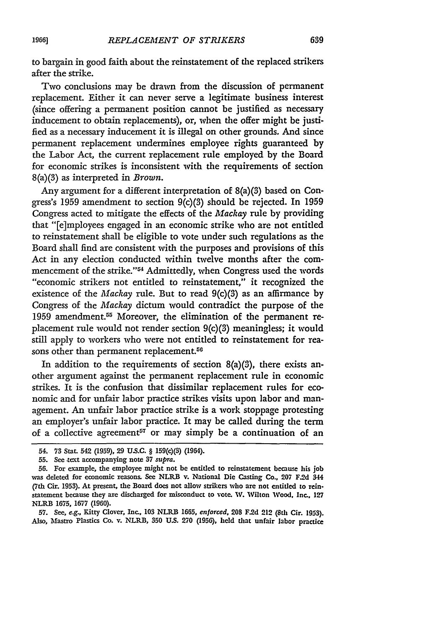to bargain in good faith about the reinstatement of the replaced strikers after the strike.

**Two** conclusions may be drawn from the discussion of permanent replacement. Either it can never serve a legitimate business interest (since offering a permanent position cannot be justified as necessary inducement to obtain replacements), or, when the offer might be justified as a necessary inducement it is illegal on other grounds. And since permanent replacement undermines employee rights guaranteed **by** the Labor Act, the current replacement rule employed by the Board for economic strikes is inconsistent with the requirements of section 8(a)(3) as interpreted in *Brown.*

Any argument for a different interpretation of 8(a)(3) based on Congress's **1959** amendment to section 9(c)(3) should be rejected. In **1959** Congress acted to mitigate the effects of the *Mackay* rule **by** providing that "[e]mployees engaged in an economic strike who are not entitled to reinstatement shall be eligible to vote under such regulations as the Board shall find are consistent with the purposes and provisions of this Act in any election conducted within twelve months after the commencement of the strike."<sup>54</sup> Admittedly, when Congress used the words "economic strikers not entitled to reinstatement," it recognized the existence of the *Mackay* rule. But to read 9(c)(3) as an affirmance **by** Congress of the *Mackay* dictum would contradict the purpose of the **1959** amendment.55 Moreover, the elimination of the permanent replacement rule would not render section 9(c)(3) meaningless; it would still apply to workers who were not entitled to reinstatement for reasons other than permanent replacement.<sup>56</sup>

In addition to the requirements of section 8(a)(3), there exists another argument against the permanent replacement rule in economic strikes. It is the confusion that dissimilar replacement rules for economic and for unfair labor practice strikes visits upon labor and management. An unfair labor practice strike is a work stoppage protesting an employer's unfair labor practice. It may be called during the term of a collective agreement<sup>57</sup> or may simply be a continuation of an

**57.** See, *e.g.,* Kitty Clover, Inc., **103** NLRB **1665,** *enforced,* 208 **F.2d** 212 **(8th** Cir. 1953). **Also,** Mastro Plastics Co. v. NLRIB, **350 U.S. 270 (1956), held** that unfair labor practice

<sup>54.</sup> **73** Stat. 542 **(1959), 29 U.S.C.** § 159(c)(3) (1964).

**<sup>55.</sup>** See text accompanying note 37 *supra.*

**<sup>56.</sup>** For example, the employee might not **be** entitled to reinstatement because his job was deleted for economic reasons. See NLRB v. National Die Casting Co., **207 F.2d** 344 (7th **Cir.** 1953). At present, the Board does not allow strikers who are not entitled to reinstatement because they are discharged for misconduct to vote. **W.** Wilton Wood. Inc., **127** NLRB **1675, 1677 (1960).**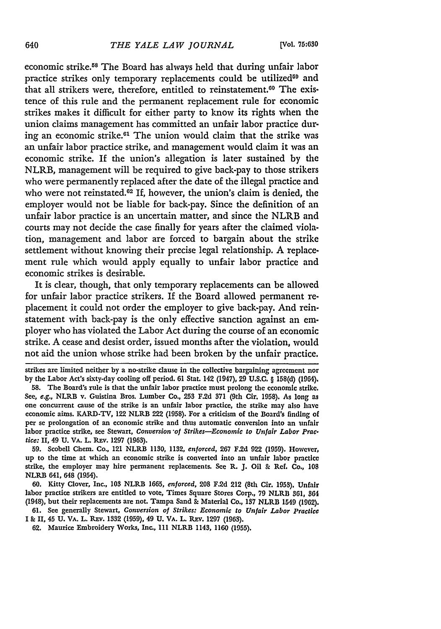economic strike.58 The Board has always held that during unfair labor practice strikes only temporary replacements could be utilized<sup>59</sup> and that all strikers were, therefore, entitled to reinstatement.<sup>60</sup> The existence of this rule and the permanent replacement rule for economic strikes makes it difficult for either party to know its rights when the union claims management has committed an unfair labor practice during an economic strike.<sup>61</sup> The union would claim that the strike was an unfair labor practice strike, and management would claim it was an economic strike. If the union's allegation is later sustained by the NLRB, management will be required to give back-pay to those strikers who were permanently replaced after the date of the illegal practice and who were not reinstated. $62$  If, however, the union's claim is denied, the employer would not be liable for back-pay. Since the definition of an unfair labor practice is an uncertain matter, and since the NLRB and courts may not decide the case finally for years after the claimed violation, management and labor are forced to bargain about the strike settlement without knowing their precise legal relationship. A replacement rule which would apply equally to unfair labor practice and economic strikes is desirable.

It is clear, though, that only temporary replacements can be allowed for unfair labor practice strikers. If the Board allowed permanent replacement it could not order the employer to give back-pay. And reinstatement with back-pay is the only effective sanction against an employer who has violated the Labor Act during the course of an economic strike. A cease and desist order, issued months after the violation, would not aid the union whose strike had been broken by the unfair practice.

strikes are limited neither **by** a no-strike clause in the collective bargaining agreement nor by the Labor Act's sixty-day cooling off period. **61** Stat. 142 (1947), **29** U.S.C. § **158(d)** (1964).

**58.** The Board's rule is that the unfair labor practice must prolong the economic strike. See, e.g., NLRB v. Guistina Bros. Lumber Co., **253 F.2d 371** (9th Cir. **1958).** As long **as** one concurrent cause of the strike is an unfair labor practice, the strike may also have economic aims. KARD-TV, 122 NLRB 222 **(1958).** For a criticism of the Board's finding of per se prolongation of an economic strike and thus automatic conversion into an unfair labor practice strike, see Stewart, *Conversion of Strikes-Economic to Unfair Labor Prac. tice: II,* 49 **U.** VA. L. Rav. **1297 (1963).**

**59.** Scobell Chem. Co., 121 NLRB **1130,** 1132, *enforced,* **267 F.2d 922 (1959).** However, up to the time at which an economic strike is converted into an unfair labor practice strike, the employer may hire permanent replacements. **See** R. **J.** Oil **&** Ref. Co., **108** NLRB 641, 648 (1954).

**60.** Kitty Clover, Inc., **103** NLRB **1665,** *enforced,* **208 F.2d** 212 (8th Cir. **1953).** Unfair labor practice strikers are entitled to vote, Times Square Stores Corp., **79** NLRB 361, 364 (1948), but their replacements are not. Tampa Sand **&** Material Co., 137 NLRB 1549 **(1962).**

61. See generally Stewart, *Conversion of Strikes: Economic to Unfair Labor Practice* I & II, 45 **U.** VA. L. Rav. **1332** (1959), 49 **U.** VA. L. REV. **1297 (1963).**

62. Maurice Embroidery Works, Inc., 111 NLRB 1143, 1160 (1955).